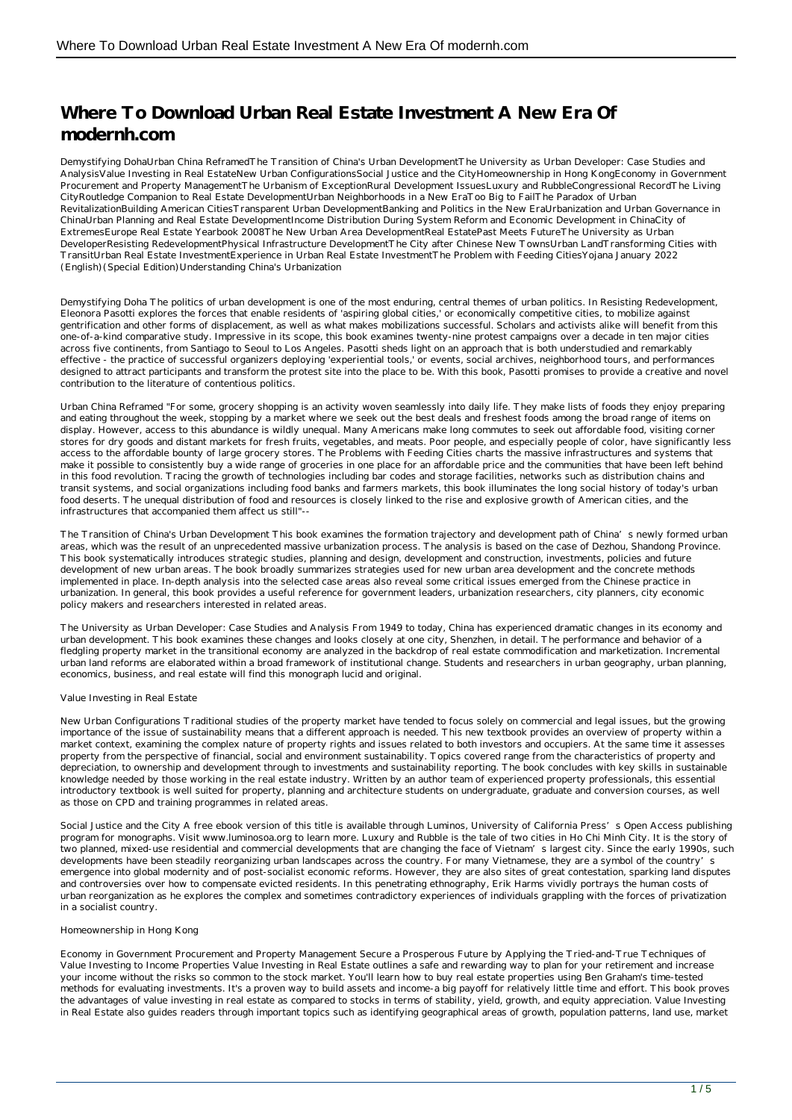# **Where To Download Urban Real Estate Investment A New Era Of modernh.com**

Demystifying DohaUrban China ReframedThe Transition of China's Urban DevelopmentThe University as Urban Developer: Case Studies and AnalysisValue Investing in Real EstateNew Urban ConfigurationsSocial Justice and the CityHomeownership in Hong KongEconomy in Government Procurement and Property ManagementThe Urbanism of ExceptionRural Development IssuesLuxury and RubbleCongressional RecordThe Living CityRoutledge Companion to Real Estate DevelopmentUrban Neighborhoods in a New EraToo Big to FailThe Paradox of Urban RevitalizationBuilding American CitiesTransparent Urban DevelopmentBanking and Politics in the New EraUrbanization and Urban Governance in ChinaUrban Planning and Real Estate DevelopmentIncome Distribution During System Reform and Economic Development in ChinaCity of ExtremesEurope Real Estate Yearbook 2008The New Urban Area DevelopmentReal EstatePast Meets FutureThe University as Urban DeveloperResisting RedevelopmentPhysical Infrastructure DevelopmentThe City after Chinese New TownsUrban LandTransforming Cities with TransitUrban Real Estate InvestmentExperience in Urban Real Estate InvestmentThe Problem with Feeding CitiesYojana January 2022 (English)(Special Edition)Understanding China's Urbanization

Demystifying Doha The politics of urban development is one of the most enduring, central themes of urban politics. In Resisting Redevelopment, Eleonora Pasotti explores the forces that enable residents of 'aspiring global cities,' or economically competitive cities, to mobilize against gentrification and other forms of displacement, as well as what makes mobilizations successful. Scholars and activists alike will benefit from this one-of-a-kind comparative study. Impressive in its scope, this book examines twenty-nine protest campaigns over a decade in ten major cities across five continents, from Santiago to Seoul to Los Angeles. Pasotti sheds light on an approach that is both understudied and remarkably effective - the practice of successful organizers deploying 'experiential tools,' or events, social archives, neighborhood tours, and performances designed to attract participants and transform the protest site into the place to be. With this book, Pasotti promises to provide a creative and novel contribution to the literature of contentious politics.

Urban China Reframed "For some, grocery shopping is an activity woven seamlessly into daily life. They make lists of foods they enjoy preparing and eating throughout the week, stopping by a market where we seek out the best deals and freshest foods among the broad range of items on display. However, access to this abundance is wildly unequal. Many Americans make long commutes to seek out affordable food, visiting corner stores for dry goods and distant markets for fresh fruits, vegetables, and meats. Poor people, and especially people of color, have significantly less access to the affordable bounty of large grocery stores. The Problems with Feeding Cities charts the massive infrastructures and systems that make it possible to consistently buy a wide range of groceries in one place for an affordable price and the communities that have been left behind in this food revolution. Tracing the growth of technologies including bar codes and storage facilities, networks such as distribution chains and transit systems, and social organizations including food banks and farmers markets, this book illuminates the long social history of today's urban food deserts. The unequal distribution of food and resources is closely linked to the rise and explosive growth of American cities, and the infrastructures that accompanied them affect us still"--

The Transition of China's Urban Development This book examines the formation trajectory and development path of China's newly formed urban areas, which was the result of an unprecedented massive urbanization process. The analysis is based on the case of Dezhou, Shandong Province. This book systematically introduces strategic studies, planning and design, development and construction, investments, policies and future development of new urban areas. The book broadly summarizes strategies used for new urban area development and the concrete methods implemented in place. In-depth analysis into the selected case areas also reveal some critical issues emerged from the Chinese practice in urbanization. In general, this book provides a useful reference for government leaders, urbanization researchers, city planners, city economic policy makers and researchers interested in related areas.

The University as Urban Developer: Case Studies and Analysis From 1949 to today, China has experienced dramatic changes in its economy and urban development. This book examines these changes and looks closely at one city, Shenzhen, in detail. The performance and behavior of a fledgling property market in the transitional economy are analyzed in the backdrop of real estate commodification and marketization. Incremental urban land reforms are elaborated within a broad framework of institutional change. Students and researchers in urban geography, urban planning, economics, business, and real estate will find this monograph lucid and original.

### Value Investing in Real Estate

New Urban Configurations Traditional studies of the property market have tended to focus solely on commercial and legal issues, but the growing importance of the issue of sustainability means that a different approach is needed. This new textbook provides an overview of property within a market context, examining the complex nature of property rights and issues related to both investors and occupiers. At the same time it assesses property from the perspective of financial, social and environment sustainability. Topics covered range from the characteristics of property and depreciation, to ownership and development through to investments and sustainability reporting. The book concludes with key skills in sustainable knowledge needed by those working in the real estate industry. Written by an author team of experienced property professionals, this essential introductory textbook is well suited for property, planning and architecture students on undergraduate, graduate and conversion courses, as well as those on CPD and training programmes in related areas.

Social Justice and the City A free ebook version of this title is available through Luminos. University of California Press's Open Access publishing program for monographs. Visit www.luminosoa.org to learn more. Luxury and Rubble is the tale of two cities in Ho Chi Minh City. It is the story of two planned, mixed-use residential and commercial developments that are changing the face of Vietnam's largest city. Since the early 1990s, such developments have been steadily reorganizing urban landscapes across the country. For many Vietnamese, they are a symbol of the country's emergence into global modernity and of post-socialist economic reforms. However, they are also sites of great contestation, sparking land disputes and controversies over how to compensate evicted residents. In this penetrating ethnography, Erik Harms vividly portrays the human costs of urban reorganization as he explores the complex and sometimes contradictory experiences of individuals grappling with the forces of privatization in a socialist country.

#### Homeownership in Hong Kong

Economy in Government Procurement and Property Management Secure a Prosperous Future by Applying the Tried-and-True Techniques of Value Investing to Income Properties Value Investing in Real Estate outlines a safe and rewarding way to plan for your retirement and increase your income without the risks so common to the stock market. You'll learn how to buy real estate properties using Ben Graham's time-tested methods for evaluating investments. It's a proven way to build assets and income-a big payoff for relatively little time and effort. This book proves the advantages of value investing in real estate as compared to stocks in terms of stability, yield, growth, and equity appreciation. Value Investing in Real Estate also guides readers through important topics such as identifying geographical areas of growth, population patterns, land use, market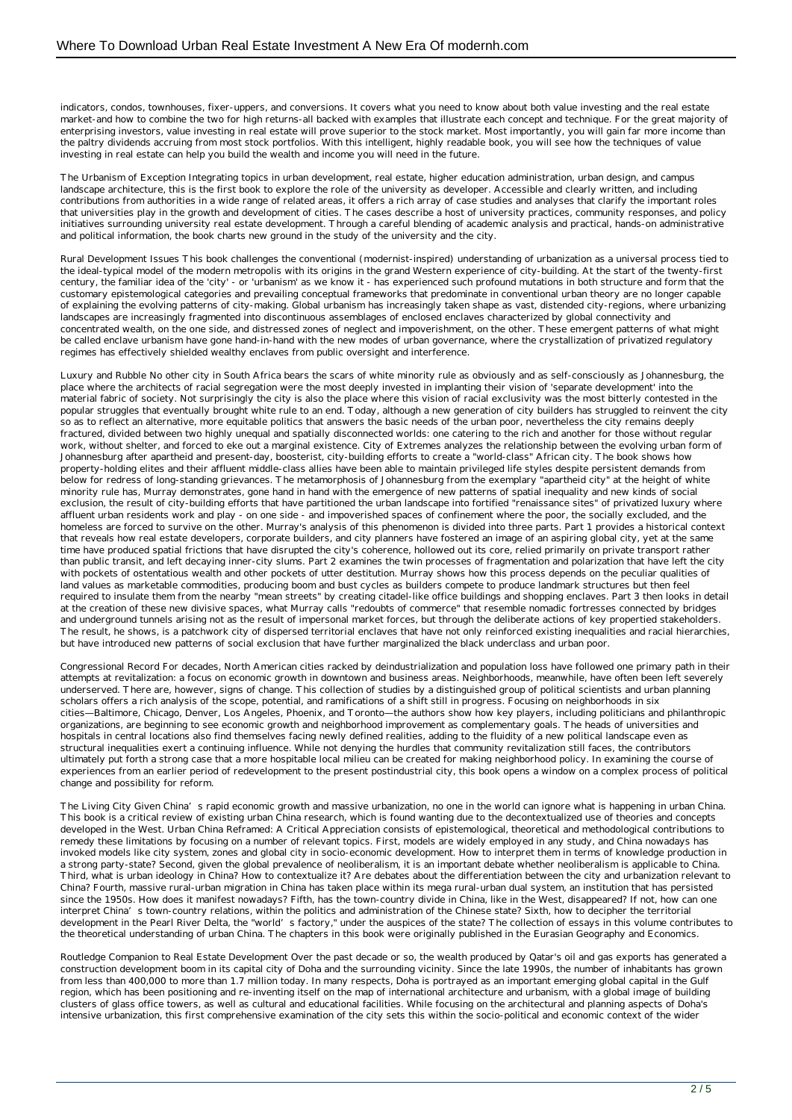indicators, condos, townhouses, fixer-uppers, and conversions. It covers what you need to know about both value investing and the real estate market-and how to combine the two for high returns-all backed with examples that illustrate each concept and technique. For the great majority of enterprising investors, value investing in real estate will prove superior to the stock market. Most importantly, you will gain far more income than the paltry dividends accruing from most stock portfolios. With this intelligent, highly readable book, you will see how the techniques of value investing in real estate can help you build the wealth and income you will need in the future.

The Urbanism of Exception Integrating topics in urban development, real estate, higher education administration, urban design, and campus landscape architecture, this is the first book to explore the role of the university as developer. Accessible and clearly written, and including contributions from authorities in a wide range of related areas, it offers a rich array of case studies and analyses that clarify the important roles that universities play in the growth and development of cities. The cases describe a host of university practices, community responses, and policy initiatives surrounding university real estate development. Through a careful blending of academic analysis and practical, hands-on administrative and political information, the book charts new ground in the study of the university and the city.

Rural Development Issues This book challenges the conventional (modernist-inspired) understanding of urbanization as a universal process tied to the ideal-typical model of the modern metropolis with its origins in the grand Western experience of city-building. At the start of the twenty-first century, the familiar idea of the 'city' - or 'urbanism' as we know it - has experienced such profound mutations in both structure and form that the customary epistemological categories and prevailing conceptual frameworks that predominate in conventional urban theory are no longer capable of explaining the evolving patterns of city-making. Global urbanism has increasingly taken shape as vast, distended city-regions, where urbanizing landscapes are increasingly fragmented into discontinuous assemblages of enclosed enclaves characterized by global connectivity and concentrated wealth, on the one side, and distressed zones of neglect and impoverishment, on the other. These emergent patterns of what might be called enclave urbanism have gone hand-in-hand with the new modes of urban governance, where the crystallization of privatized regulatory regimes has effectively shielded wealthy enclaves from public oversight and interference.

Luxury and Rubble No other city in South Africa bears the scars of white minority rule as obviously and as self-consciously as Johannesburg, the place where the architects of racial segregation were the most deeply invested in implanting their vision of 'separate development' into the material fabric of society. Not surprisingly the city is also the place where this vision of racial exclusivity was the most bitterly contested in the popular struggles that eventually brought white rule to an end. Today, although a new generation of city builders has struggled to reinvent the city so as to reflect an alternative, more equitable politics that answers the basic needs of the urban poor, nevertheless the city remains deeply fractured, divided between two highly unequal and spatially disconnected worlds: one catering to the rich and another for those without regular work, without shelter, and forced to eke out a marginal existence. City of Extremes analyzes the relationship between the evolving urban form of Johannesburg after apartheid and present-day, boosterist, city-building efforts to create a "world-class" African city. The book shows how property-holding elites and their affluent middle-class allies have been able to maintain privileged life styles despite persistent demands from below for redress of long-standing grievances. The metamorphosis of Johannesburg from the exemplary "apartheid city" at the height of white minority rule has, Murray demonstrates, gone hand in hand with the emergence of new patterns of spatial inequality and new kinds of social exclusion, the result of city-building efforts that have partitioned the urban landscape into fortified "renaissance sites" of privatized luxury where affluent urban residents work and play - on one side - and impoverished spaces of confinement where the poor, the socially excluded, and the homeless are forced to survive on the other. Murray's analysis of this phenomenon is divided into three parts. Part 1 provides a historical context that reveals how real estate developers, corporate builders, and city planners have fostered an image of an aspiring global city, yet at the same time have produced spatial frictions that have disrupted the city's coherence, hollowed out its core, relied primarily on private transport rather than public transit, and left decaying inner-city slums. Part 2 examines the twin processes of fragmentation and polarization that have left the city with pockets of ostentatious wealth and other pockets of utter destitution. Murray shows how this process depends on the peculiar qualities of land values as marketable commodities, producing boom and bust cycles as builders compete to produce landmark structures but then feel required to insulate them from the nearby "mean streets" by creating citadel-like office buildings and shopping enclaves. Part 3 then looks in detail at the creation of these new divisive spaces, what Murray calls "redoubts of commerce" that resemble nomadic fortresses connected by bridges and underground tunnels arising not as the result of impersonal market forces, but through the deliberate actions of key propertied stakeholders. The result, he shows, is a patchwork city of dispersed territorial enclaves that have not only reinforced existing inequalities and racial hierarchies, but have introduced new patterns of social exclusion that have further marginalized the black underclass and urban poor.

Congressional Record For decades, North American cities racked by deindustrialization and population loss have followed one primary path in their attempts at revitalization: a focus on economic growth in downtown and business areas. Neighborhoods, meanwhile, have often been left severely underserved. There are, however, signs of change. This collection of studies by a distinguished group of political scientists and urban planning scholars offers a rich analysis of the scope, potential, and ramifications of a shift still in progress. Focusing on neighborhoods in six cities—Baltimore, Chicago, Denver, Los Angeles, Phoenix, and Toronto—the authors show how key players, including politicians and philanthropic organizations, are beginning to see economic growth and neighborhood improvement as complementary goals. The heads of universities and hospitals in central locations also find themselves facing newly defined realities, adding to the fluidity of a new political landscape even as structural inequalities exert a continuing influence. While not denying the hurdles that community revitalization still faces, the contributors ultimately put forth a strong case that a more hospitable local milieu can be created for making neighborhood policy. In examining the course of experiences from an earlier period of redevelopment to the present postindustrial city, this book opens a window on a complex process of political change and possibility for reform.

The Living City Given China's rapid economic growth and massive urbanization, no one in the world can ignore what is happening in urban China. This book is a critical review of existing urban China research, which is found wanting due to the decontextualized use of theories and concepts developed in the West. Urban China Reframed: A Critical Appreciation consists of epistemological, theoretical and methodological contributions to remedy these limitations by focusing on a number of relevant topics. First, models are widely employed in any study, and China nowadays has invoked models like city system, zones and global city in socio-economic development. How to interpret them in terms of knowledge production in a strong party-state? Second, given the global prevalence of neoliberalism, it is an important debate whether neoliberalism is applicable to China. Third, what is urban ideology in China? How to contextualize it? Are debates about the differentiation between the city and urbanization relevant to China? Fourth, massive rural-urban migration in China has taken place within its mega rural-urban dual system, an institution that has persisted since the 1950s. How does it manifest nowadays? Fifth, has the town-country divide in China, like in the West, disappeared? If not, how can one interpret China's town-country relations, within the politics and administration of the Chinese state? Sixth, how to decipher the territorial development in the Pearl River Delta, the "world's factory," under the auspices of the state? The collection of essays in this volume contributes to the theoretical understanding of urban China. The chapters in this book were originally published in the Eurasian Geography and Economics.

Routledge Companion to Real Estate Development Over the past decade or so, the wealth produced by Qatar's oil and gas exports has generated a construction development boom in its capital city of Doha and the surrounding vicinity. Since the late 1990s, the number of inhabitants has grown from less than 400,000 to more than 1.7 million today. In many respects, Doha is portrayed as an important emerging global capital in the Gulf region, which has been positioning and re-inventing itself on the map of international architecture and urbanism, with a global image of building clusters of glass office towers, as well as cultural and educational facilities. While focusing on the architectural and planning aspects of Doha's intensive urbanization, this first comprehensive examination of the city sets this within the socio-political and economic context of the wider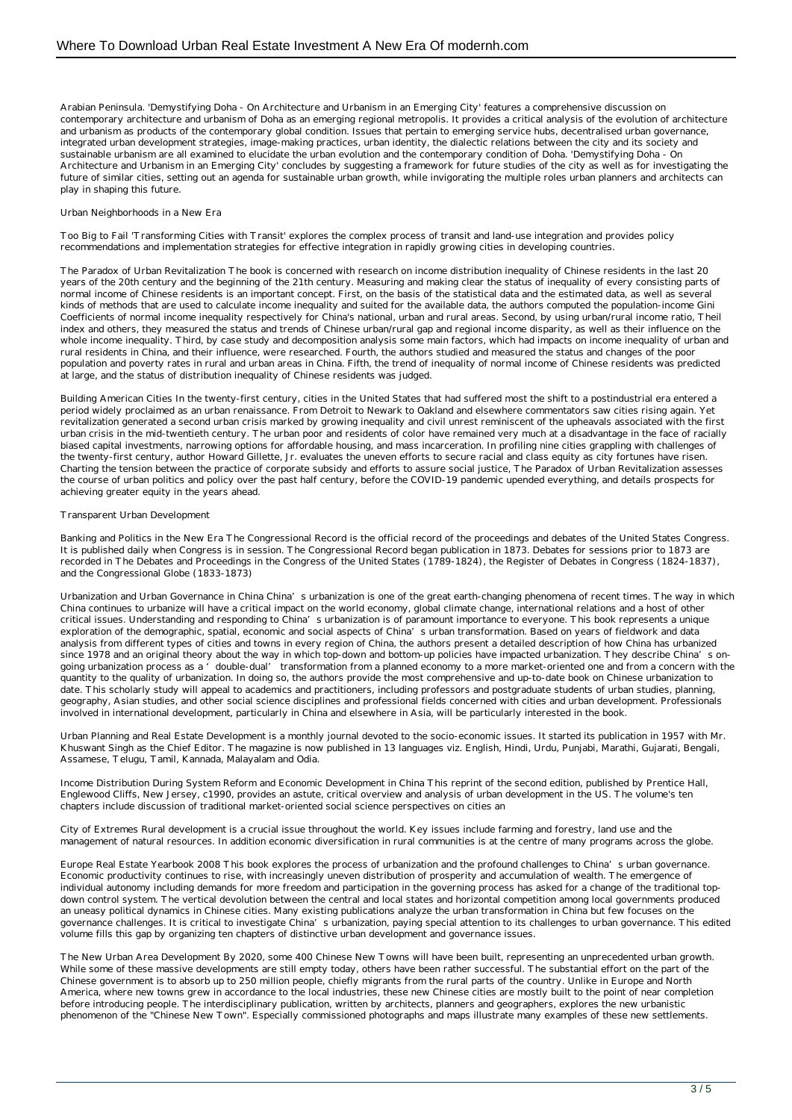Arabian Peninsula. 'Demystifying Doha - On Architecture and Urbanism in an Emerging City' features a comprehensive discussion on contemporary architecture and urbanism of Doha as an emerging regional metropolis. It provides a critical analysis of the evolution of architecture and urbanism as products of the contemporary global condition. Issues that pertain to emerging service hubs, decentralised urban governance, integrated urban development strategies, image-making practices, urban identity, the dialectic relations between the city and its society and sustainable urbanism are all examined to elucidate the urban evolution and the contemporary condition of Doha. 'Demystifying Doha - On Architecture and Urbanism in an Emerging City' concludes by suggesting a framework for future studies of the city as well as for investigating the future of similar cities, setting out an agenda for sustainable urban growth, while invigorating the multiple roles urban planners and architects can play in shaping this future.

#### Urban Neighborhoods in a New Era

Too Big to Fail 'Transforming Cities with Transit' explores the complex process of transit and land-use integration and provides policy recommendations and implementation strategies for effective integration in rapidly growing cities in developing countries.

The Paradox of Urban Revitalization The book is concerned with research on income distribution inequality of Chinese residents in the last 20 years of the 20th century and the beginning of the 21th century. Measuring and making clear the status of inequality of every consisting parts of normal income of Chinese residents is an important concept. First, on the basis of the statistical data and the estimated data, as well as several kinds of methods that are used to calculate income inequality and suited for the available data, the authors computed the population-income Gini Coefficients of normal income inequality respectively for China's national, urban and rural areas. Second, by using urban/rural income ratio, Theil index and others, they measured the status and trends of Chinese urban/rural gap and regional income disparity, as well as their influence on the whole income inequality. Third, by case study and decomposition analysis some main factors, which had impacts on income inequality of urban and rural residents in China, and their influence, were researched. Fourth, the authors studied and measured the status and changes of the poor population and poverty rates in rural and urban areas in China. Fifth, the trend of inequality of normal income of Chinese residents was predicted at large, and the status of distribution inequality of Chinese residents was judged.

Building American Cities In the twenty-first century, cities in the United States that had suffered most the shift to a postindustrial era entered a period widely proclaimed as an urban renaissance. From Detroit to Newark to Oakland and elsewhere commentators saw cities rising again. Yet revitalization generated a second urban crisis marked by growing inequality and civil unrest reminiscent of the upheavals associated with the first urban crisis in the mid-twentieth century. The urban poor and residents of color have remained very much at a disadvantage in the face of racially biased capital investments, narrowing options for affordable housing, and mass incarceration. In profiling nine cities grappling with challenges of the twenty-first century, author Howard Gillette, Jr. evaluates the uneven efforts to secure racial and class equity as city fortunes have risen. Charting the tension between the practice of corporate subsidy and efforts to assure social justice, The Paradox of Urban Revitalization assesses the course of urban politics and policy over the past half century, before the COVID-19 pandemic upended everything, and details prospects for achieving greater equity in the years ahead.

## Transparent Urban Development

Banking and Politics in the New Era The Congressional Record is the official record of the proceedings and debates of the United States Congress. It is published daily when Congress is in session. The Congressional Record began publication in 1873. Debates for sessions prior to 1873 are recorded in The Debates and Proceedings in the Congress of the United States (1789-1824), the Register of Debates in Congress (1824-1837), and the Congressional Globe (1833-1873)

Urbanization and Urban Governance in China China's urbanization is one of the great earth-changing phenomena of recent times. The way in which China continues to urbanize will have a critical impact on the world economy, global climate change, international relations and a host of other critical issues. Understanding and responding to China's urbanization is of paramount importance to everyone. This book represents a unique exploration of the demographic, spatial, economic and social aspects of China's urban transformation. Based on years of fieldwork and data analysis from different types of cities and towns in every region of China, the authors present a detailed description of how China has urbanized since 1978 and an original theory about the way in which top-down and bottom-up policies have impacted urbanization. They describe China's ongoing urbanization process as a 'double-dual' transformation from a planned economy to a more market-oriented one and from a concern with the quantity to the quality of urbanization. In doing so, the authors provide the most comprehensive and up-to-date book on Chinese urbanization to date. This scholarly study will appeal to academics and practitioners, including professors and postgraduate students of urban studies, planning, geography, Asian studies, and other social science disciplines and professional fields concerned with cities and urban development. Professionals involved in international development, particularly in China and elsewhere in Asia, will be particularly interested in the book.

Urban Planning and Real Estate Development is a monthly journal devoted to the socio-economic issues. It started its publication in 1957 with Mr. Khuswant Singh as the Chief Editor. The magazine is now published in 13 languages viz. English, Hindi, Urdu, Punjabi, Marathi, Gujarati, Bengali, Assamese, Telugu, Tamil, Kannada, Malayalam and Odia.

Income Distribution During System Reform and Economic Development in China This reprint of the second edition, published by Prentice Hall, Englewood Cliffs, New Jersey, c1990, provides an astute, critical overview and analysis of urban development in the US. The volume's ten chapters include discussion of traditional market-oriented social science perspectives on cities an

City of Extremes Rural development is a crucial issue throughout the world. Key issues include farming and forestry, land use and the management of natural resources. In addition economic diversification in rural communities is at the centre of many programs across the globe.

Europe Real Estate Yearbook 2008 This book explores the process of urbanization and the profound challenges to China's urban governance. Economic productivity continues to rise, with increasingly uneven distribution of prosperity and accumulation of wealth. The emergence of individual autonomy including demands for more freedom and participation in the governing process has asked for a change of the traditional topdown control system. The vertical devolution between the central and local states and horizontal competition among local governments produced an uneasy political dynamics in Chinese cities. Many existing publications analyze the urban transformation in China but few focuses on the governance challenges. It is critical to investigate China's urbanization, paying special attention to its challenges to urban governance. This edited volume fills this gap by organizing ten chapters of distinctive urban development and governance issues.

The New Urban Area Development By 2020, some 400 Chinese New Towns will have been built, representing an unprecedented urban growth. While some of these massive developments are still empty today, others have been rather successful. The substantial effort on the part of the Chinese government is to absorb up to 250 million people, chiefly migrants from the rural parts of the country. Unlike in Europe and North America, where new towns grew in accordance to the local industries, these new Chinese cities are mostly built to the point of near completion before introducing people. The interdisciplinary publication, written by architects, planners and geographers, explores the new urbanistic phenomenon of the "Chinese New Town". Especially commissioned photographs and maps illustrate many examples of these new settlements.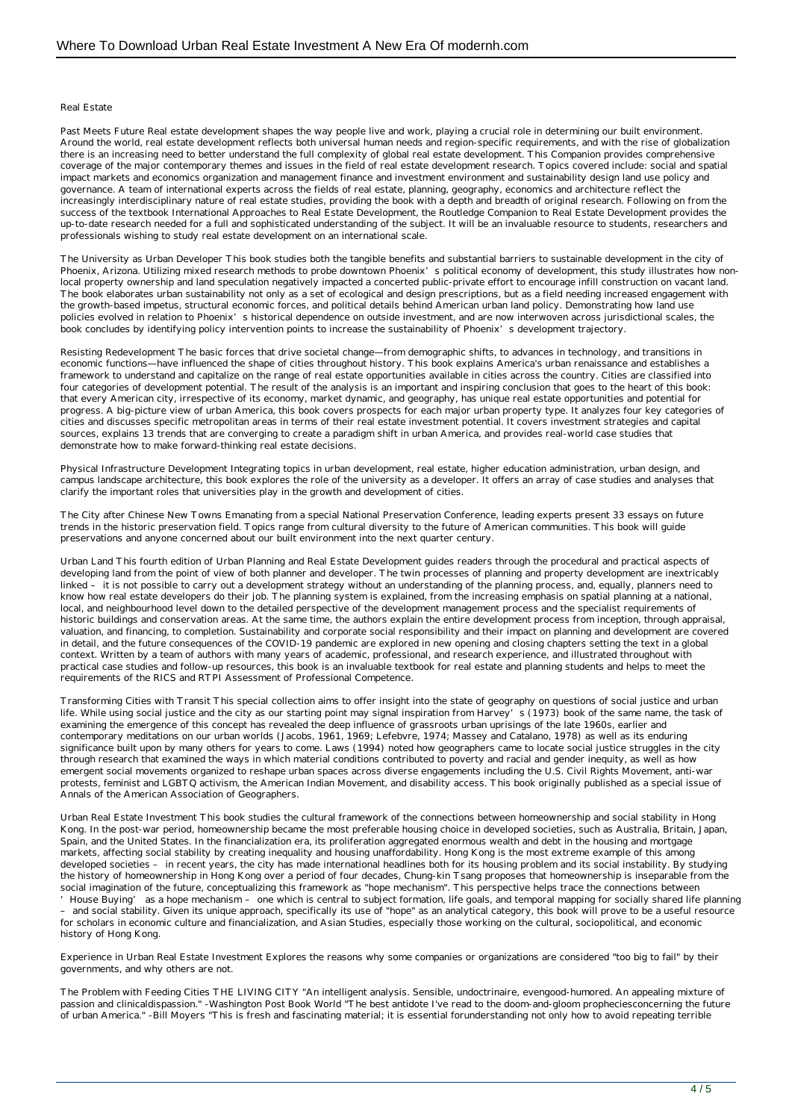#### Real Estate

Past Meets Future Real estate development shapes the way people live and work, playing a crucial role in determining our built environment. Around the world, real estate development reflects both universal human needs and region-specific requirements, and with the rise of globalization there is an increasing need to better understand the full complexity of global real estate development. This Companion provides comprehensive coverage of the major contemporary themes and issues in the field of real estate development research. Topics covered include: social and spatial impact markets and economics organization and management finance and investment environment and sustainability design land use policy and governance. A team of international experts across the fields of real estate, planning, geography, economics and architecture reflect the increasingly interdisciplinary nature of real estate studies, providing the book with a depth and breadth of original research. Following on from the success of the textbook International Approaches to Real Estate Development, the Routledge Companion to Real Estate Development provides the up-to-date research needed for a full and sophisticated understanding of the subject. It will be an invaluable resource to students, researchers and professionals wishing to study real estate development on an international scale.

The University as Urban Developer This book studies both the tangible benefits and substantial barriers to sustainable development in the city of Phoenix, Arizona. Utilizing mixed research methods to probe downtown Phoenix's political economy of development, this study illustrates how nonlocal property ownership and land speculation negatively impacted a concerted public-private effort to encourage infill construction on vacant land. The book elaborates urban sustainability not only as a set of ecological and design prescriptions, but as a field needing increased engagement with the growth-based impetus, structural economic forces, and political details behind American urban land policy. Demonstrating how land use policies evolved in relation to Phoenix's historical dependence on outside investment, and are now interwoven across jurisdictional scales, the book concludes by identifying policy intervention points to increase the sustainability of Phoenix's development trajectory.

Resisting Redevelopment The basic forces that drive societal change—from demographic shifts, to advances in technology, and transitions in economic functions—have influenced the shape of cities throughout history. This book explains America's urban renaissance and establishes a framework to understand and capitalize on the range of real estate opportunities available in cities across the country. Cities are classified into four categories of development potential. The result of the analysis is an important and inspiring conclusion that goes to the heart of this book: that every American city, irrespective of its economy, market dynamic, and geography, has unique real estate opportunities and potential for progress. A big-picture view of urban America, this book covers prospects for each major urban property type. It analyzes four key categories of cities and discusses specific metropolitan areas in terms of their real estate investment potential. It covers investment strategies and capital sources, explains 13 trends that are converging to create a paradigm shift in urban America, and provides real-world case studies that demonstrate how to make forward-thinking real estate decisions.

Physical Infrastructure Development Integrating topics in urban development, real estate, higher education administration, urban design, and campus landscape architecture, this book explores the role of the university as a developer. It offers an array of case studies and analyses that clarify the important roles that universities play in the growth and development of cities.

The City after Chinese New Towns Emanating from a special National Preservation Conference, leading experts present 33 essays on future trends in the historic preservation field. Topics range from cultural diversity to the future of American communities. This book will guide preservations and anyone concerned about our built environment into the next quarter century.

Urban Land This fourth edition of Urban Planning and Real Estate Development guides readers through the procedural and practical aspects of developing land from the point of view of both planner and developer. The twin processes of planning and property development are inextricably linked – it is not possible to carry out a development strategy without an understanding of the planning process, and, equally, planners need to know how real estate developers do their job. The planning system is explained, from the increasing emphasis on spatial planning at a national, local, and neighbourhood level down to the detailed perspective of the development management process and the specialist requirements of historic buildings and conservation areas. At the same time, the authors explain the entire development process from inception, through appraisal, valuation, and financing, to completion. Sustainability and corporate social responsibility and their impact on planning and development are covered in detail, and the future consequences of the COVID-19 pandemic are explored in new opening and closing chapters setting the text in a global context. Written by a team of authors with many years of academic, professional, and research experience, and illustrated throughout with practical case studies and follow-up resources, this book is an invaluable textbook for real estate and planning students and helps to meet the requirements of the RICS and RTPI Assessment of Professional Competence.

Transforming Cities with Transit This special collection aims to offer insight into the state of geography on questions of social justice and urban life. While using social justice and the city as our starting point may signal inspiration from Harvey's (1973) book of the same name, the task of examining the emergence of this concept has revealed the deep influence of grassroots urban uprisings of the late 1960s, earlier and contemporary meditations on our urban worlds (Jacobs, 1961, 1969; Lefebvre, 1974; Massey and Catalano, 1978) as well as its enduring significance built upon by many others for years to come. Laws (1994) noted how geographers came to locate social justice struggles in the city through research that examined the ways in which material conditions contributed to poverty and racial and gender inequity, as well as how emergent social movements organized to reshape urban spaces across diverse engagements including the U.S. Civil Rights Movement, anti-war protests, feminist and LGBTQ activism, the American Indian Movement, and disability access. This book originally published as a special issue of Annals of the American Association of Geographers.

Urban Real Estate Investment This book studies the cultural framework of the connections between homeownership and social stability in Hong Kong. In the post-war period, homeownership became the most preferable housing choice in developed societies, such as Australia, Britain, Japan, Spain, and the United States. In the financialization era, its proliferation aggregated enormous wealth and debt in the housing and mortgage markets, affecting social stability by creating inequality and housing unaffordability. Hong Kong is the most extreme example of this among developed societies – in recent years, the city has made international headlines both for its housing problem and its social instability. By studying the history of homeownership in Hong Kong over a period of four decades, Chung-kin Tsang proposes that homeownership is inseparable from the social imagination of the future, conceptualizing this framework as "hope mechanism". This perspective helps trace the connections between

'House Buying' as a hope mechanism – one which is central to subject formation, life goals, and temporal mapping for socially shared life planning – and social stability. Given its unique approach, specifically its use of "hope" as an analytical category, this book will prove to be a useful resource for scholars in economic culture and financialization, and Asian Studies, especially those working on the cultural, sociopolitical, and economic history of Hong Kong.

Experience in Urban Real Estate Investment Explores the reasons why some companies or organizations are considered "too big to fail" by their governments, and why others are not.

The Problem with Feeding Cities THE LIVING CITY "An intelligent analysis. Sensible, undoctrinaire, evengood-humored. An appealing mixture of passion and clinicaldispassion." -Washington Post Book World "The best antidote I've read to the doom-and-gloom propheciesconcerning the future of urban America." -Bill Moyers "This is fresh and fascinating material; it is essential forunderstanding not only how to avoid repeating terrible